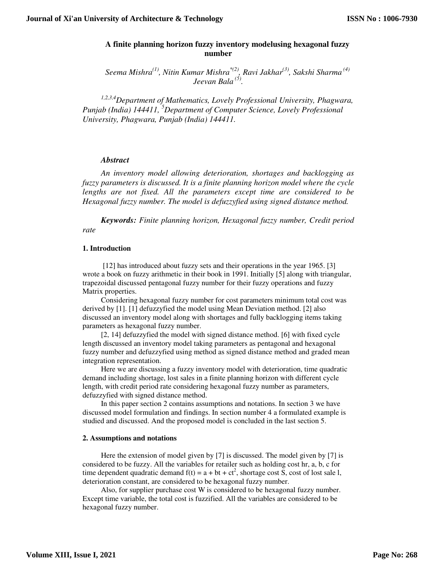# **A finite planning horizon fuzzy inventory modelusing hexagonal fuzzy number**

*Seema Mishra(1), Nitin Kumar Mishra\*(2), Ravi Jakhar(3), Sakshi Sharma (4) Jeevan Bala (5) .* 

*1,2,3,4Department of Mathematics, Lovely Professional University, Phagwara, Punjab (India) 144411, <sup>5</sup>Department of Computer Science, Lovely Professional University, Phagwara, Punjab (India) 144411.* 

## *Abstract*

*An inventory model allowing deterioration, shortages and backlogging as fuzzy parameters is discussed. It is a finite planning horizon model where the cycle lengths are not fixed. All the parameters except time are considered to be Hexagonal fuzzy number. The model is defuzzyfied using signed distance method.* 

*Keywords: Finite planning horizon, Hexagonal fuzzy number, Credit period rate* 

### **1. Introduction**

 [12] has introduced about fuzzy sets and their operations in the year 1965. [3] wrote a book on fuzzy arithmetic in their book in 1991. Initially [5] along with triangular, trapezoidal discussed pentagonal fuzzy number for their fuzzy operations and fuzzy Matrix properties.

Considering hexagonal fuzzy number for cost parameters minimum total cost was derived by [1]. [1] defuzzyfied the model using Mean Deviation method. [2] also discussed an inventory model along with shortages and fully backlogging items taking parameters as hexagonal fuzzy number.

[2, 14] defuzzyfied the model with signed distance method. [6] with fixed cycle length discussed an inventory model taking parameters as pentagonal and hexagonal fuzzy number and defuzzyfied using method as signed distance method and graded mean integration representation.

Here we are discussing a fuzzy inventory model with deterioration, time quadratic demand including shortage, lost sales in a finite planning horizon with different cycle length, with credit period rate considering hexagonal fuzzy number as parameters, defuzzyfied with signed distance method.

In this paper section 2 contains assumptions and notations. In section 3 we have discussed model formulation and findings. In section number 4 a formulated example is studied and discussed. And the proposed model is concluded in the last section 5.

### **2. Assumptions and notations**

Here the extension of model given by [7] is discussed. The model given by [7] is considered to be fuzzy. All the variables for retailer such as holding cost hr, a, b, c for time dependent quadratic demand  $f(t) = a + bt + ct^2$ , shortage cost S, cost of lost sale l, deterioration constant, are considered to be hexagonal fuzzy number.

Also, for supplier purchase cost W is considered to be hexagonal fuzzy number. Except time variable, the total cost is fuzzified. All the variables are considered to be hexagonal fuzzy number.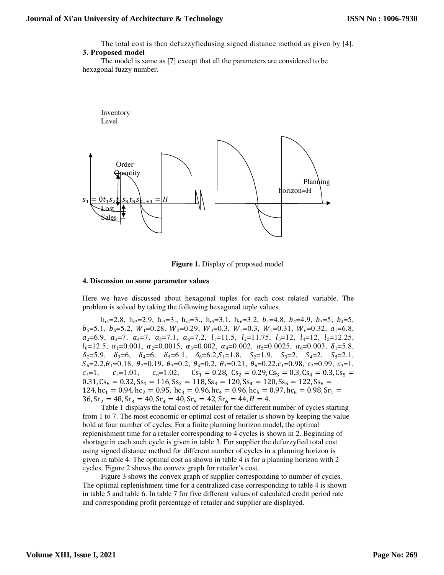The total cost is then defuzzyfiedusing signed distance method as given by [4].

### **3. Proposed model**

The model is same as [7] except that all the parameters are considered to be hexagonal fuzzy number.



**Figure 1.** Display of proposed model

#### **4. Discussion on some parameter values**

Here we have discussed about hexagonal tuples for each cost related variable. The problem is solved by taking the following hexagonal tuple values.

 $h_{r1}=2.8$ ,  $h_{r2}=2.9$ ,  $h_{r3}=3$ .,  $h_{r4}=3$ .,  $h_{r5}=3.1$ ,  $h_{r6}=3.2$ ,  $b_1=4.8$ ,  $b_2=4.9$ ,  $b_3=5$ ,  $b_4=5$ ,  $b_5 = 5.1, b_6 = 5.2, W_1 = 0.28, W_2 = 0.29, W_3 = 0.3, W_4 = 0.3, W_5 = 0.31, W_6 = 0.32, a_1 = 6.8,$  $a_2=6.9, a_3=7, a_4=7, a_5=7.1, a_6=7.2, l_1=11.5, l_2=11.75, l_3=12, l_4=12, l_5=12.25,$  $l_6=12.5, \alpha_1=0.001, \alpha_2=0.0015, \alpha_3=0.002, \alpha_4=0.002, \alpha_5=0.0025, \alpha_6=0.003, \delta_1=5.8,$  $\delta_2 = 5.9$ ,  $\delta_3 = 6$ ,  $\delta_4 = 6$ ,  $\delta_5 = 6.1$ ,  $\delta_6 = 6.2$ ,  $S_1 = 1.8$ ,  $S_2 = 1.9$ ,  $S_3 = 2$ ,  $S_4 = 2$ ,  $S_5 = 2.1$ ,  $S_6 = 2.2, \theta_1 = 0.18, \theta_2 = 0.19, \theta_3 = 0.2, \theta_4 = 0.2, \theta_5 = 0.21, \theta_6 = 0.22, c_1 = 0.98, c_2 = 0.99, c_3 = 1,$  $c_4=1,$   $c_5=1.01,$   $c_6=1.02,$   $Cs_1 = 0.28,$   $Cs_2 = 0.29,$   $Cs_3 = 0.3,$   $Cs_4 = 0.3,$   $Cs_5 =$  $0.31$ ,  $Cs_6 = 0.32$ ,  $Ss_1 = 116$ ,  $Ss_2 = 118$ ,  $Ss_3 = 120$ ,  $Ss_4 = 120$ ,  $Ss_5 = 122$ ,  $Ss_6 =$  $124$ ,  $hc_1 = 0.94$ ,  $hc_2 = 0.95$ ,  $hc_3 = 0.96$ ,  $hc_4 = 0.96$ ,  $hc_5 = 0.97$ ,  $hc_6 = 0.98$ ,  $Sr_1 =$  $36, \text{Sr}_2 = 48, \text{Sr}_3 = 40, \text{Sr}_4 = 40, \text{Sr}_5 = 42, \text{Sr}_6 = 44, H = 4.$ 

Table 1 displays the total cost of retailer for the different number of cycles starting from 1 to 7. The most economic or optimal cost of retailer is shown by keeping the value bold at four number of cycles. For a finite planning horizon model, the optimal replenishment time for a retailer corresponding to 4 cycles is shown in 2. Beginning of shortage in each such cycle is given in table 3. For supplier the defuzzyfied total cost using signed distance method for different number of cycles in a planning horizon is given in table 4. The optimal cost as shown in table 4 is for a planning horizon with 2 cycles. Figure 2 shows the convex graph for retailer's cost.

Figure 3 shows the convex graph of supplier corresponding to number of cycles. The optimal replenishment time for a centralized case corresponding to table 4 is shown in table 5 and table 6. In table 7 for five different values of calculated credit period rate and corresponding profit percentage of retailer and supplier are displayed.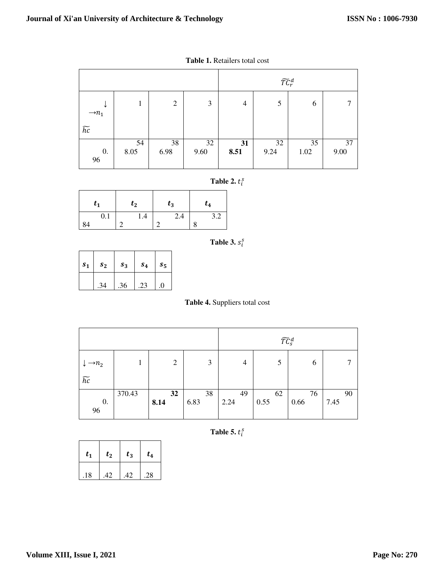|                   |            |                |            |                | $\widetilde{TC}_r^d$ |            |            |
|-------------------|------------|----------------|------------|----------------|----------------------|------------|------------|
| $\rightarrow n_1$ |            | $\mathfrak{2}$ | 3          | $\overline{4}$ | 5                    | 6          | ⇁          |
| $\widetilde{hc}$  |            |                |            |                |                      |            |            |
| 0.<br>96          | 54<br>8.05 | 38<br>6.98     | 32<br>9.60 | 31<br>8.51     | 32<br>9.24           | 35<br>1.02 | 37<br>9.00 |

| <b>Table 2.</b> $t_i^s$ |  |  |
|-------------------------|--|--|
|-------------------------|--|--|

| $t_{1}$ | $t_2$ | $t_3$ | $t_4$ |
|---------|-------|-------|-------|
| 0.1     | 1.4   | 2.4   | 3.2   |
|         |       |       |       |

**Table 3.**  $s_i^s$ 

| s <sub>1</sub> | s <sub>2</sub> | s <sub>3</sub> | s <sub>4</sub> | $s_{5}$  |
|----------------|----------------|----------------|----------------|----------|
|                | 34             | .36            | 23             | $\left($ |

**Table 4.** Suppliers total cost

|                   |        |                |      | $\widetilde{T}\widetilde{\mathcal{C}}_S^d$ |      |      |      |
|-------------------|--------|----------------|------|--------------------------------------------|------|------|------|
| $\rightarrow n_2$ |        | $\overline{2}$ | 3    | $\overline{4}$                             | 5    | 6    |      |
| $\widetilde{hc}$  |        |                |      |                                            |      |      |      |
|                   | 370.43 | 32             | 38   | 49                                         | 62   | 76   | 90   |
| 0.                |        | 8.14           | 6.83 | 2.24                                       | 0.55 | 0.66 | 7.45 |
| 96                |        |                |      |                                            |      |      |      |

**Table 5.**  $t_i^s$ 

| $t_{1}$ | $t_{2}$ | $t_3$ | $t_4$ |
|---------|---------|-------|-------|
| .18     | $-42$   | .42   | 28    |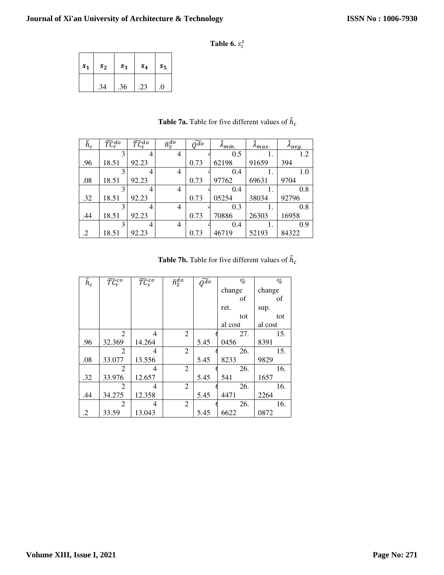**Table 6.**  $s_i^s$ 

| s <sub>1</sub> | s <sub>2</sub> | s <sub>3</sub> | $s_{4}$ | $s_{5}$ |
|----------------|----------------|----------------|---------|---------|
|                | .34            | .36            |         |         |

| $\tilde{h}_c$ | $\widetilde{TC}^{do}_r$ | $\widetilde{TC}_{S}^{do}$ | $\bar{n}_2^{do}$ | $\widetilde{O^{do}}$ | $\lambda_{min.}$ | $\lambda_{max.}$ | $\lambda_{avg.}$ |
|---------------|-------------------------|---------------------------|------------------|----------------------|------------------|------------------|------------------|
|               | 3                       | $\overline{4}$            | $\overline{4}$   |                      | 0.5              |                  | 1.2              |
| .96           | 18.51                   | 92.23                     |                  | 0.73                 | 62198            | 91659            | 394              |
|               | 3                       | 4                         | 4                |                      | 0.4              |                  | 1.0              |
| .08           | 18.51                   | 92.23                     |                  | 0.73                 | 97762            | 69631            | 9704             |
|               | 3                       | 4                         | $\overline{4}$   |                      | 0.4              |                  | 0.8              |
| .32           | 18.51                   | 92.23                     |                  | 0.73                 | 05254            | 38034            | 92796            |
|               | 3                       | 4                         | $\overline{4}$   |                      | 0.3              |                  | 0.8              |
| .44           | 18.51                   | 92.23                     |                  | 0.73                 | 70886            | 26303            | 16958            |
|               | 3                       | 4                         | $\overline{4}$   |                      | 0.4              |                  | 0.9              |
| .2            | 18.51                   | 92.23                     |                  | 0.73                 | 46719            | 52193            | 84322            |

**Table 7a.** Table for five different values of  $\tilde{h}_c$ 

| <b>Table 7b.</b> Table for five different values of $h_c$ |  |  |  |
|-----------------------------------------------------------|--|--|--|
|                                                           |  |  |  |

| $\tilde{h}_c$ | $\widetilde{TC}^{co}_r$ | $\overline{\widetilde{TC}}_S^{co}$ | $\tilde{n}_2^{do}$ | $\bar{\widetilde{Q^{do}}}$ | $\%$    | $\%$    |
|---------------|-------------------------|------------------------------------|--------------------|----------------------------|---------|---------|
|               |                         |                                    |                    |                            | change  | change  |
|               |                         |                                    |                    |                            | of      | of      |
|               |                         |                                    |                    |                            | ret.    | sup.    |
|               |                         |                                    |                    |                            | tot     | tot     |
|               |                         |                                    |                    |                            | al cost | al cost |
|               | 2                       | $\overline{\mathcal{A}}$           | 2                  |                            | 27.     | 15.     |
| .96           | 32.369                  | 14.264                             |                    | 5.45                       | 0456    | 8391    |
|               | 2                       | 4                                  | $\overline{2}$     |                            | 26.     | 15.     |
| .08           | 33.077                  | 13.556                             |                    | 5.45                       | 8233    | 9829    |
|               | 2                       | 4                                  | $\overline{2}$     |                            | 26.     | 16.     |
| .32           | 33.976                  | 12.657                             |                    | 5.45                       | 541     | 1657    |
|               | 2                       | 4                                  | $\overline{2}$     |                            | 26.     | 16.     |
| .44           | 34.275                  | 12.358                             |                    | 5.45                       | 4471    | 2264    |
|               | 2                       | 4                                  | 2                  |                            | 26.     | 16.     |
| .2            | 33.59                   | 13.043                             |                    | 5.45                       | 6622    | 0872    |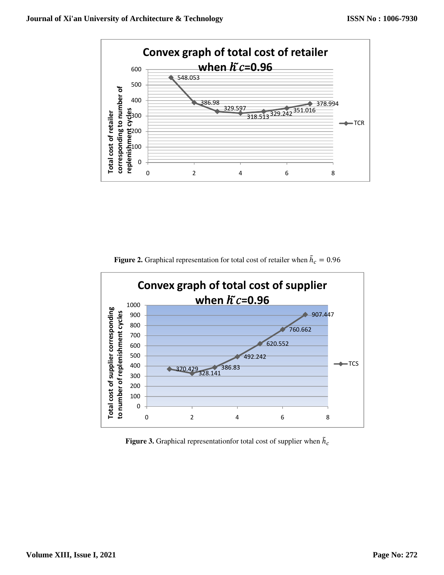

**Figure 2.** Graphical representation for total cost of retailer when  $\tilde{h}_c = 0.96$ 



Figure 3. Graphical representation for total cost of supplier when  $\tilde{h}_c$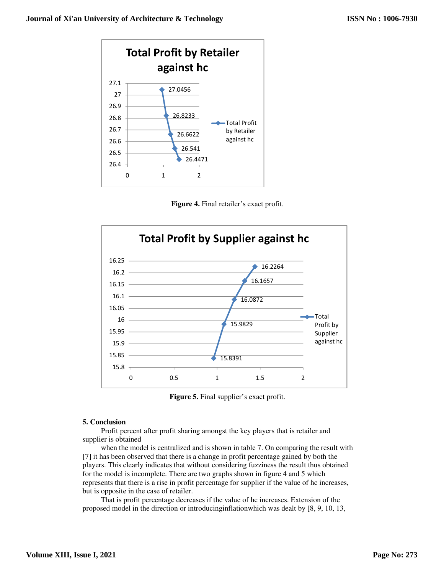





**Figure 5.** Final supplier's exact profit.

### **5. Conclusion**

Profit percent after profit sharing amongst the key players that is retailer and supplier is obtained

when the model is centralized and is shown in table 7. On comparing the result with [7] it has been observed that there is a change in profit percentage gained by both the players. This clearly indicates that without considering fuzziness the result thus obtained for the model is incomplete. There are two graphs shown in figure 4 and 5 which represents that there is a rise in profit percentage for supplier if the value of hc increases, but is opposite in the case of retailer.

That is profit percentage decreases if the value of hc increases. Extension of the proposed model in the direction or introducinginflationwhich was dealt by [8, 9, 10, 13,